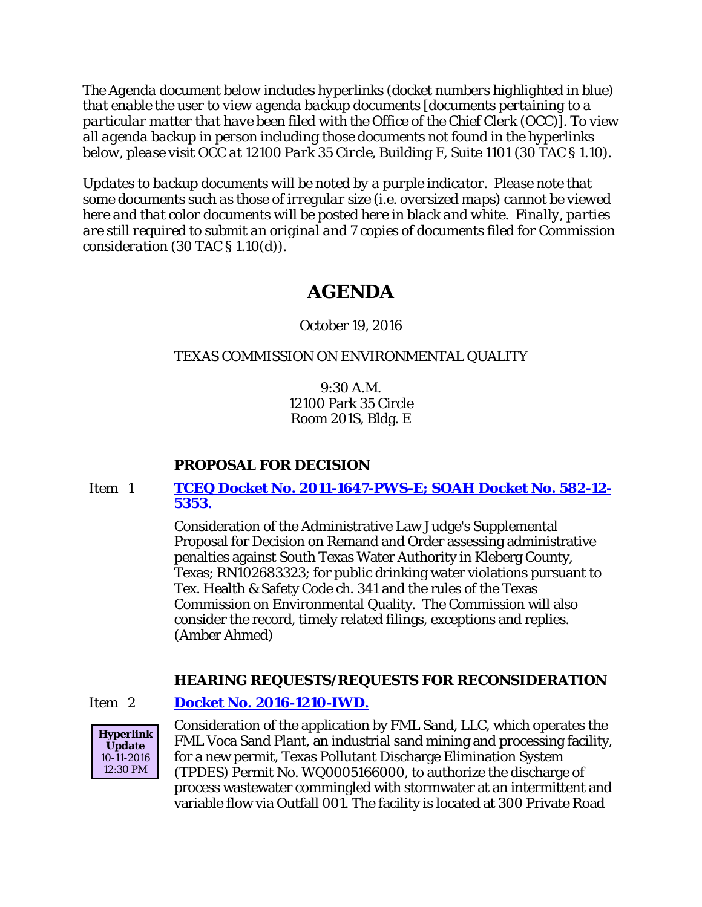*The Agenda document below includes hyperlinks (docket numbers highlighted in blue) that enable the user to view agenda backup documents [documents pertaining to a particular matter that have been filed with the Office of the Chief Clerk (OCC)]. To view all agenda backup in person including those documents not found in the hyperlinks below, please visit OCC at 12100 Park 35 Circle, Building F, Suite 1101 (30 TAC § 1.10).*

*Updates to backup documents will be noted by a purple indicator. Please note that some documents such as those of irregular size (i.e. oversized maps) cannot be viewed here and that color documents will be posted here in black and white. Finally, parties are still required to submit an original and 7 copies of documents filed for Commission consideration (30 TAC § 1.10(d)).*

# **AGENDA**

# October 19, 2016

# TEXAS COMMISSION ON ENVIRONMENTAL QUALITY

9:30 A.M. 12100 Park 35 Circle Room 201S, Bldg. E

# **PROPOSAL FOR DECISION**

Item 1 **[TCEQ Docket No. 2011-1647-PWS-E; SOAH Docket No. 582-12-](http://www.tceq.texas.gov/assets/public/comm_exec/agendas/comm/backup/Agendas/2016/10-19-2016/southtexas.pdf) [5353.](http://www.tceq.texas.gov/assets/public/comm_exec/agendas/comm/backup/Agendas/2016/10-19-2016/southtexas.pdf)**

> Consideration of the Administrative Law Judge's Supplemental Proposal for Decision on Remand and Order assessing administrative penalties against South Texas Water Authority in Kleberg County, Texas; RN102683323; for public drinking water violations pursuant to Tex. Health & Safety Code ch. 341 and the rules of the Texas Commission on Environmental Quality. The Commission will also consider the record, timely related filings, exceptions and replies. (Amber Ahmed)

# **HEARING REQUESTS/REQUESTS FOR RECONSIDERATION**

### Item 2 **[Docket No. 2016-1210-IWD.](http://www.tceq.texas.gov/assets/public/comm_exec/agendas/comm/backup/Agendas/2016/10-19-2016/fml.pdf)**



Consideration of the application by FML Sand, LLC, which operates the FML Voca Sand Plant, an industrial sand mining and processing facility, for a new permit, Texas Pollutant Discharge Elimination System (TPDES) Permit No. WQ0005166000, to authorize the discharge of process wastewater commingled with stormwater at an intermittent and variable flow via Outfall 001. The facility is located at 300 Private Road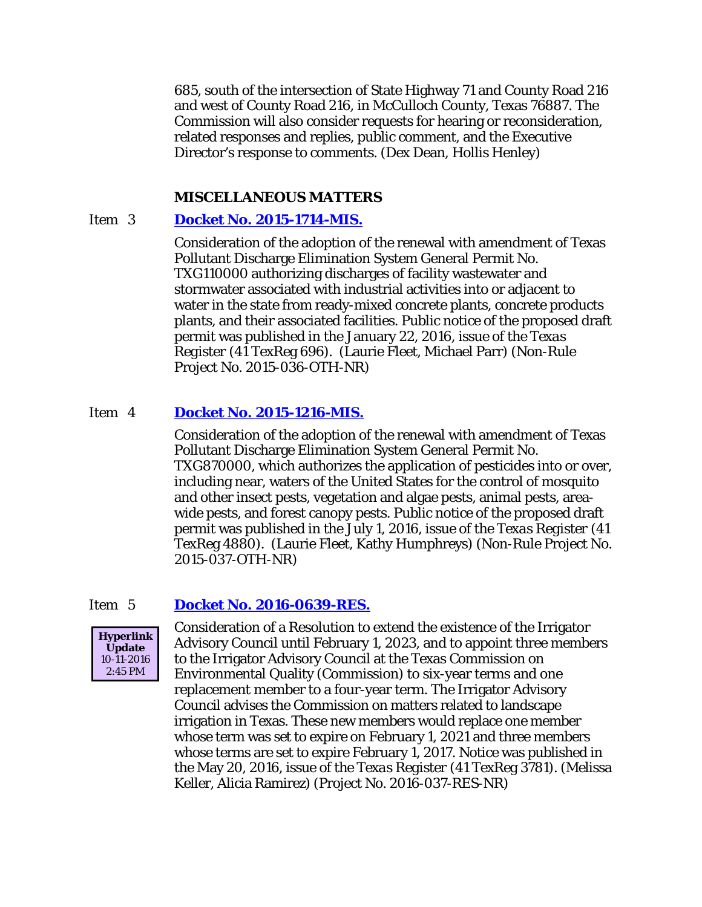685, south of the intersection of State Highway 71 and County Road 216 and west of County Road 216, in McCulloch County, Texas 76887. The Commission will also consider requests for hearing or reconsideration, related responses and replies, public comment, and the Executive Director's response to comments. (Dex Dean, Hollis Henley)

#### **MISCELLANEOUS MATTERS**

### Item 3 **[Docket No. 2015-1714-MIS.](http://www.tceq.texas.gov/assets/public/comm_exec/agendas/comm/backup/Agendas/2016/10-19-2016/1714MIS.pdf)**

Consideration of the adoption of the renewal with amendment of Texas Pollutant Discharge Elimination System General Permit No. TXG110000 authorizing discharges of facility wastewater and stormwater associated with industrial activities into or adjacent to water in the state from ready-mixed concrete plants, concrete products plants, and their associated facilities. Public notice of the proposed draft permit was published in the January 22, 2016, issue of the *Texas Register* (41 TexReg 696). (Laurie Fleet, Michael Parr) (Non-Rule Project No. 2015-036-OTH-NR)

#### Item 4 **[Docket No. 2015-1216-MIS.](http://www.tceq.texas.gov/assets/public/comm_exec/agendas/comm/backup/Agendas/2016/10-19-2016/1216MIS.pdf)**

Consideration of the adoption of the renewal with amendment of Texas Pollutant Discharge Elimination System General Permit No. TXG870000, which authorizes the application of pesticides into or over, including near, waters of the United States for the control of mosquito and other insect pests, vegetation and algae pests, animal pests, areawide pests, and forest canopy pests. Public notice of the proposed draft permit was published in the July 1, 2016, issue of the *Texas Register* (41 TexReg 4880). (Laurie Fleet, Kathy Humphreys) (Non-Rule Project No. 2015-037-OTH-NR)

#### Item 5 **[Docket No. 2016-0639-RES.](http://www.tceq.texas.gov/assets/public/comm_exec/agendas/comm/backup/Agendas/2016/10-19-2016/0639RES.pdf)**



Consideration of a Resolution to extend the existence of the Irrigator Advisory Council until February 1, 2023, and to appoint three members to the Irrigator Advisory Council at the Texas Commission on Environmental Quality (Commission) to six-year terms and one replacement member to a four-year term. The Irrigator Advisory Council advises the Commission on matters related to landscape irrigation in Texas. These new members would replace one member whose term was set to expire on February 1, 2021 and three members whose terms are set to expire February 1, 2017. Notice was published in the May 20, 2016, issue of the *Texas Register* (41 TexReg 3781). (Melissa Keller, Alicia Ramirez) (Project No. 2016-037-RES-NR)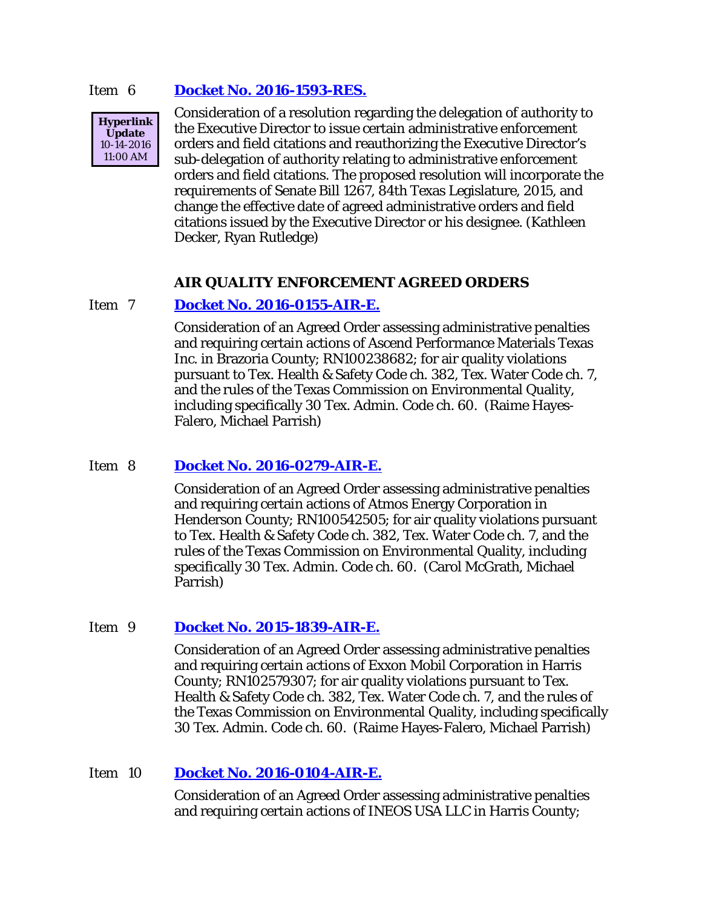#### Item 6 **[Docket No. 2016-1593-RES.](http://www.tceq.texas.gov/assets/public/comm_exec/agendas/comm/backup/Agendas/2016/10-19-2016/1593RES.pdf)**



Consideration of a resolution regarding the delegation of authority to the Executive Director to issue certain administrative enforcement orders and field citations and reauthorizing the Executive Director's sub-delegation of authority relating to administrative enforcement orders and field citations. The proposed resolution will incorporate the requirements of Senate Bill 1267, 84th Texas Legislature, 2015, and change the effective date of agreed administrative orders and field citations issued by the Executive Director or his designee. (Kathleen Decker, Ryan Rutledge)

#### **AIR QUALITY ENFORCEMENT AGREED ORDERS**

#### Item 7 **[Docket No. 2016-0155-AIR-E.](http://www.tceq.texas.gov/assets/public/comm_exec/agendas/comm/backup/Agendas/2016/10-19-2016/0155AIR.pdf)**

Consideration of an Agreed Order assessing administrative penalties and requiring certain actions of Ascend Performance Materials Texas Inc. in Brazoria County; RN100238682; for air quality violations pursuant to Tex. Health & Safety Code ch. 382, Tex. Water Code ch. 7, and the rules of the Texas Commission on Environmental Quality, including specifically 30 Tex. Admin. Code ch. 60. (Raime Hayes-Falero, Michael Parrish)

#### Item 8 **[Docket No. 2016-0279-AIR-E.](http://www.tceq.texas.gov/assets/public/comm_exec/agendas/comm/backup/Agendas/2016/10-19-2016/0279AIR.pdf)**

Consideration of an Agreed Order assessing administrative penalties and requiring certain actions of Atmos Energy Corporation in Henderson County; RN100542505; for air quality violations pursuant to Tex. Health & Safety Code ch. 382, Tex. Water Code ch. 7, and the rules of the Texas Commission on Environmental Quality, including specifically 30 Tex. Admin. Code ch. 60. (Carol McGrath, Michael Parrish)

### Item 9 **[Docket No. 2015-1839-AIR-E.](http://www.tceq.texas.gov/assets/public/comm_exec/agendas/comm/backup/Agendas/2016/10-19-2016/1839AIR.pdf)**

Consideration of an Agreed Order assessing administrative penalties and requiring certain actions of Exxon Mobil Corporation in Harris County; RN102579307; for air quality violations pursuant to Tex. Health & Safety Code ch. 382, Tex. Water Code ch. 7, and the rules of the Texas Commission on Environmental Quality, including specifically 30 Tex. Admin. Code ch. 60. (Raime Hayes-Falero, Michael Parrish)

#### Item 10 **[Docket No. 2016-0104-AIR-E.](http://www.tceq.texas.gov/assets/public/comm_exec/agendas/comm/backup/Agendas/2016/10-19-2016/0104AIR.pdf)**

Consideration of an Agreed Order assessing administrative penalties and requiring certain actions of INEOS USA LLC in Harris County;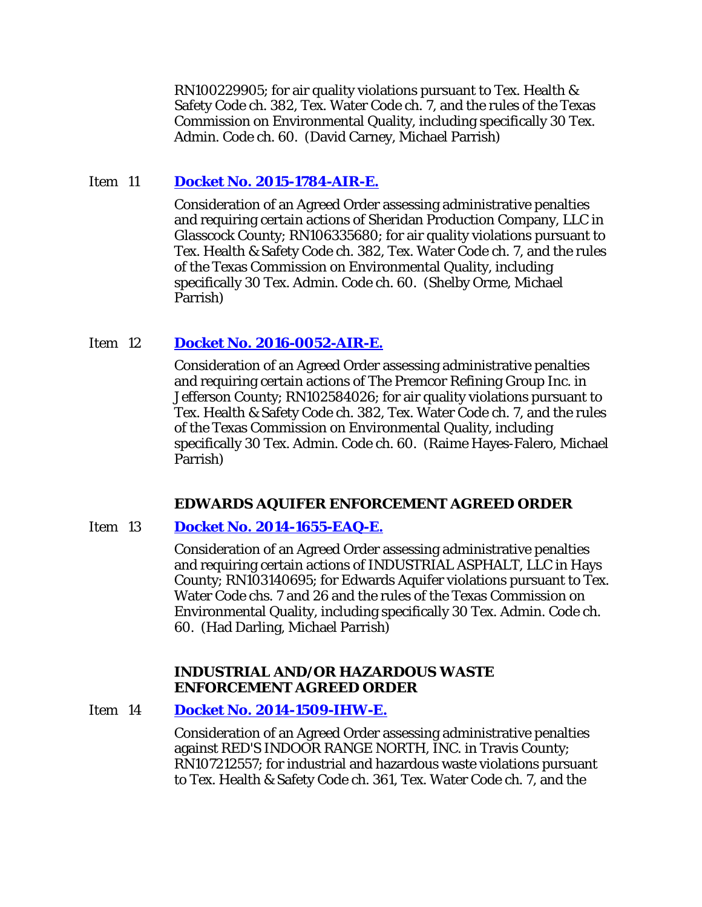RN100229905; for air quality violations pursuant to Tex. Health & Safety Code ch. 382, Tex. Water Code ch. 7, and the rules of the Texas Commission on Environmental Quality, including specifically 30 Tex. Admin. Code ch. 60. (David Carney, Michael Parrish)

### Item 11 **[Docket No. 2015-1784-AIR-E.](http://www.tceq.texas.gov/assets/public/comm_exec/agendas/comm/backup/Agendas/2016/10-19-2016/1784AIR.pdf)**

Consideration of an Agreed Order assessing administrative penalties and requiring certain actions of Sheridan Production Company, LLC in Glasscock County; RN106335680; for air quality violations pursuant to Tex. Health & Safety Code ch. 382, Tex. Water Code ch. 7, and the rules of the Texas Commission on Environmental Quality, including specifically 30 Tex. Admin. Code ch. 60. (Shelby Orme, Michael Parrish)

### Item 12 **[Docket No. 2016-0052-AIR-E.](http://www.tceq.texas.gov/assets/public/comm_exec/agendas/comm/backup/Agendas/2016/10-19-2016/0052AIR.pdf)**

Consideration of an Agreed Order assessing administrative penalties and requiring certain actions of The Premcor Refining Group Inc. in Jefferson County; RN102584026; for air quality violations pursuant to Tex. Health & Safety Code ch. 382, Tex. Water Code ch. 7, and the rules of the Texas Commission on Environmental Quality, including specifically 30 Tex. Admin. Code ch. 60. (Raime Hayes-Falero, Michael Parrish)

#### **EDWARDS AQUIFER ENFORCEMENT AGREED ORDER**

#### Item 13 **[Docket No. 2014-1655-EAQ-E.](http://www.tceq.texas.gov/assets/public/comm_exec/agendas/comm/backup/Agendas/2016/10-19-2016/1655EAQ.pdf)**

Consideration of an Agreed Order assessing administrative penalties and requiring certain actions of INDUSTRIAL ASPHALT, LLC in Hays County; RN103140695; for Edwards Aquifer violations pursuant to Tex. Water Code chs. 7 and 26 and the rules of the Texas Commission on Environmental Quality, including specifically 30 Tex. Admin. Code ch. 60. (Had Darling, Michael Parrish)

#### **INDUSTRIAL AND/OR HAZARDOUS WASTE ENFORCEMENT AGREED ORDER**

#### Item 14 **[Docket No. 2014-1509-IHW-E.](http://www.tceq.texas.gov/assets/public/comm_exec/agendas/comm/backup/Agendas/2016/10-19-2016/1509IHW.pdf)**

Consideration of an Agreed Order assessing administrative penalties against RED'S INDOOR RANGE NORTH, INC. in Travis County; RN107212557; for industrial and hazardous waste violations pursuant to Tex. Health & Safety Code ch. 361, Tex. Water Code ch. 7, and the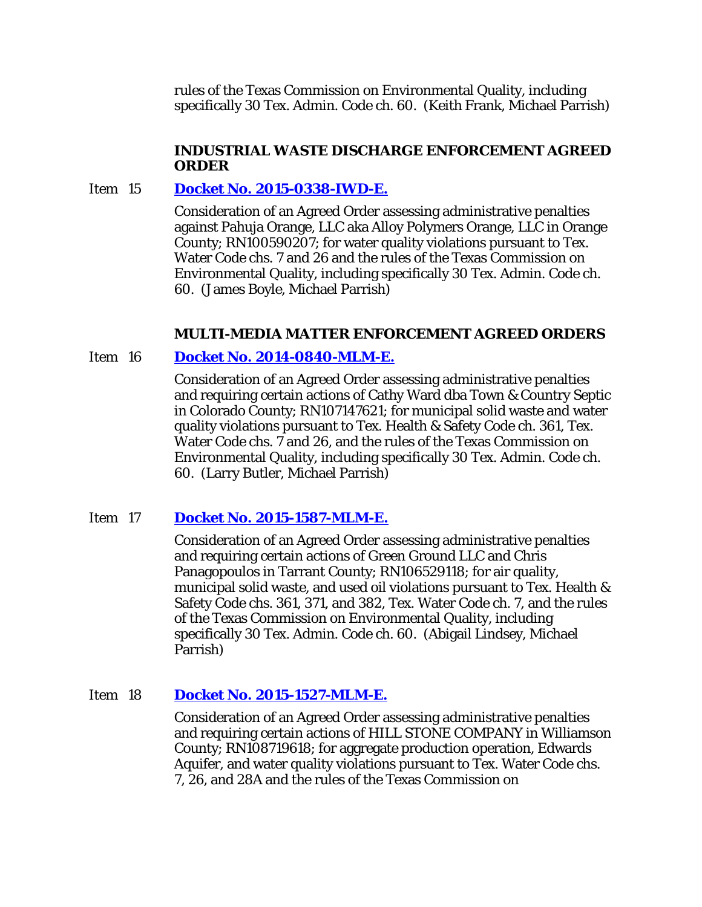rules of the Texas Commission on Environmental Quality, including specifically 30 Tex. Admin. Code ch. 60. (Keith Frank, Michael Parrish)

### **INDUSTRIAL WASTE DISCHARGE ENFORCEMENT AGREED ORDER**

### Item 15 **[Docket No. 2015-0338-IWD-E.](http://www.tceq.texas.gov/assets/public/comm_exec/agendas/comm/backup/Agendas/2016/10-19-2016/0338IWD.pdf)**

Consideration of an Agreed Order assessing administrative penalties against Pahuja Orange, LLC aka Alloy Polymers Orange, LLC in Orange County; RN100590207; for water quality violations pursuant to Tex. Water Code chs. 7 and 26 and the rules of the Texas Commission on Environmental Quality, including specifically 30 Tex. Admin. Code ch. 60. (James Boyle, Michael Parrish)

### **MULTI-MEDIA MATTER ENFORCEMENT AGREED ORDERS**

### Item 16 **[Docket No. 2014-0840-MLM-E.](http://www.tceq.texas.gov/assets/public/comm_exec/agendas/comm/backup/Agendas/2016/10-19-2016/0840MLM.pdf)**

Consideration of an Agreed Order assessing administrative penalties and requiring certain actions of Cathy Ward dba Town & Country Septic in Colorado County; RN107147621; for municipal solid waste and water quality violations pursuant to Tex. Health & Safety Code ch. 361, Tex. Water Code chs. 7 and 26, and the rules of the Texas Commission on Environmental Quality, including specifically 30 Tex. Admin. Code ch. 60. (Larry Butler, Michael Parrish)

### Item 17 **[Docket No. 2015-1587-MLM-E.](http://www.tceq.texas.gov/assets/public/comm_exec/agendas/comm/backup/Agendas/2016/10-19-2016/1587MLM.pdf)**

Consideration of an Agreed Order assessing administrative penalties and requiring certain actions of Green Ground LLC and Chris Panagopoulos in Tarrant County; RN106529118; for air quality, municipal solid waste, and used oil violations pursuant to Tex. Health & Safety Code chs. 361, 371, and 382, Tex. Water Code ch. 7, and the rules of the Texas Commission on Environmental Quality, including specifically 30 Tex. Admin. Code ch. 60. (Abigail Lindsey, Michael Parrish)

### Item 18 **[Docket No. 2015-1527-MLM-E.](http://www.tceq.texas.gov/assets/public/comm_exec/agendas/comm/backup/Agendas/2016/10-19-2016/1527MLM.pdf)**

Consideration of an Agreed Order assessing administrative penalties and requiring certain actions of HILL STONE COMPANY in Williamson County; RN108719618; for aggregate production operation, Edwards Aquifer, and water quality violations pursuant to Tex. Water Code chs. 7, 26, and 28A and the rules of the Texas Commission on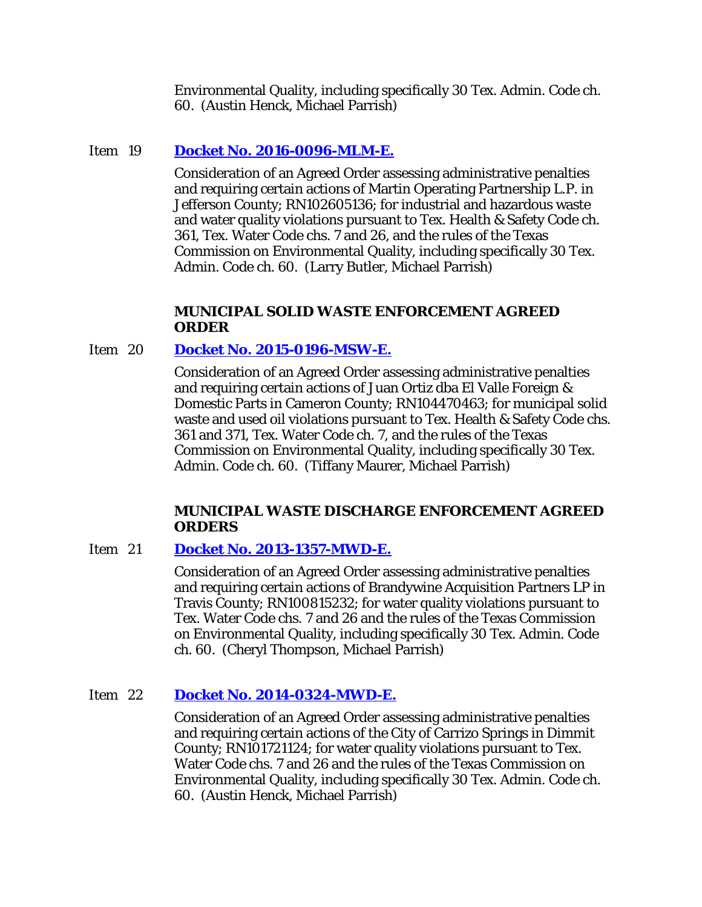Environmental Quality, including specifically 30 Tex. Admin. Code ch. 60. (Austin Henck, Michael Parrish)

# Item 19 **[Docket No. 2016-0096-MLM-E.](http://www.tceq.texas.gov/assets/public/comm_exec/agendas/comm/backup/Agendas/2016/10-19-2016/0096MLM.pdf)**

Consideration of an Agreed Order assessing administrative penalties and requiring certain actions of Martin Operating Partnership L.P. in Jefferson County; RN102605136; for industrial and hazardous waste and water quality violations pursuant to Tex. Health & Safety Code ch. 361, Tex. Water Code chs. 7 and 26, and the rules of the Texas Commission on Environmental Quality, including specifically 30 Tex. Admin. Code ch. 60. (Larry Butler, Michael Parrish)

#### **MUNICIPAL SOLID WASTE ENFORCEMENT AGREED ORDER**

### Item 20 **[Docket No. 2015-0196-MSW-E.](http://www.tceq.texas.gov/assets/public/comm_exec/agendas/comm/backup/Agendas/2016/10-19-2016/0196MSW.pdf)**

Consideration of an Agreed Order assessing administrative penalties and requiring certain actions of Juan Ortiz dba El Valle Foreign & Domestic Parts in Cameron County; RN104470463; for municipal solid waste and used oil violations pursuant to Tex. Health & Safety Code chs. 361 and 371, Tex. Water Code ch. 7, and the rules of the Texas Commission on Environmental Quality, including specifically 30 Tex. Admin. Code ch. 60. (Tiffany Maurer, Michael Parrish)

#### **MUNICIPAL WASTE DISCHARGE ENFORCEMENT AGREED ORDERS**

### Item 21 **[Docket No. 2013-1357-MWD-E.](http://www.tceq.texas.gov/assets/public/comm_exec/agendas/comm/backup/Agendas/2016/10-19-2016/1357MWD.pdf)**

Consideration of an Agreed Order assessing administrative penalties and requiring certain actions of Brandywine Acquisition Partners LP in Travis County; RN100815232; for water quality violations pursuant to Tex. Water Code chs. 7 and 26 and the rules of the Texas Commission on Environmental Quality, including specifically 30 Tex. Admin. Code ch. 60. (Cheryl Thompson, Michael Parrish)

### Item 22 **[Docket No. 2014-0324-MWD-E.](http://www.tceq.texas.gov/assets/public/comm_exec/agendas/comm/backup/Agendas/2016/10-19-2016/0324MWD.pdf)**

Consideration of an Agreed Order assessing administrative penalties and requiring certain actions of the City of Carrizo Springs in Dimmit County; RN101721124; for water quality violations pursuant to Tex. Water Code chs. 7 and 26 and the rules of the Texas Commission on Environmental Quality, including specifically 30 Tex. Admin. Code ch. 60. (Austin Henck, Michael Parrish)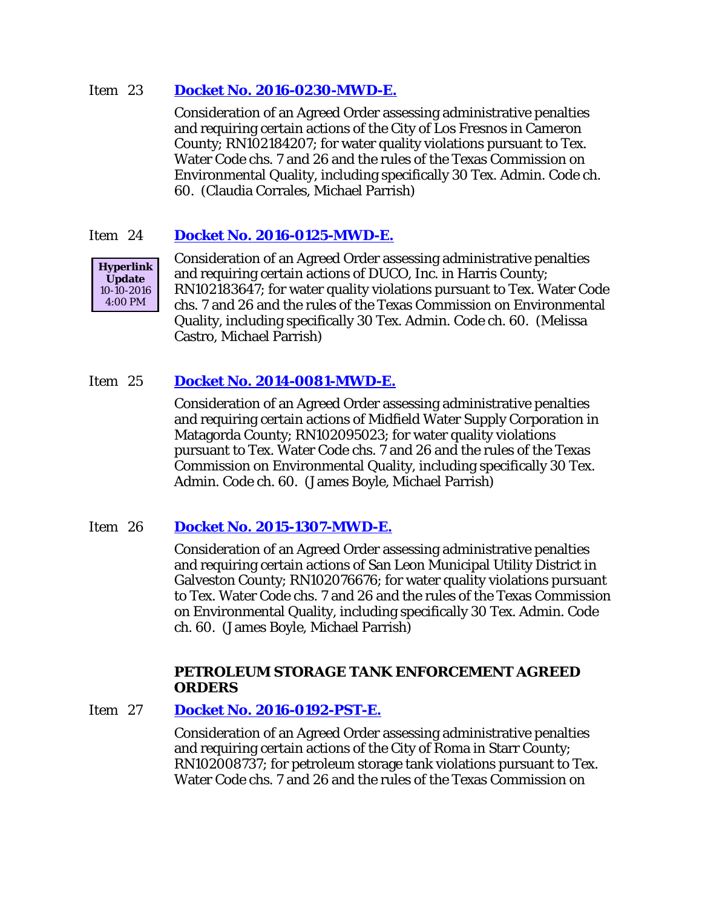### Item 23 **[Docket No. 2016-0230-MWD-E.](http://www.tceq.texas.gov/assets/public/comm_exec/agendas/comm/backup/Agendas/2016/10-19-2016/0230MWD.pdf)**

Consideration of an Agreed Order assessing administrative penalties and requiring certain actions of the City of Los Fresnos in Cameron County; RN102184207; for water quality violations pursuant to Tex. Water Code chs. 7 and 26 and the rules of the Texas Commission on Environmental Quality, including specifically 30 Tex. Admin. Code ch. 60. (Claudia Corrales, Michael Parrish)

## Item 24 **[Docket No. 2016-0125-MWD-E.](http://www.tceq.texas.gov/assets/public/comm_exec/agendas/comm/backup/Agendas/2016/10-19-2016/0125MWD.pdf)**



Consideration of an Agreed Order assessing administrative penalties and requiring certain actions of DUCO, Inc. in Harris County; RN102183647; for water quality violations pursuant to Tex. Water Code chs. 7 and 26 and the rules of the Texas Commission on Environmental Quality, including specifically 30 Tex. Admin. Code ch. 60. (Melissa Castro, Michael Parrish)

# Item 25 **[Docket No. 2014-0081-MWD-E.](http://www.tceq.texas.gov/assets/public/comm_exec/agendas/comm/backup/Agendas/2016/10-19-2016/0081MWD.pdf)**

Consideration of an Agreed Order assessing administrative penalties and requiring certain actions of Midfield Water Supply Corporation in Matagorda County; RN102095023; for water quality violations pursuant to Tex. Water Code chs. 7 and 26 and the rules of the Texas Commission on Environmental Quality, including specifically 30 Tex. Admin. Code ch. 60. (James Boyle, Michael Parrish)

### Item 26 **[Docket No. 2015-1307-MWD-E.](http://www.tceq.texas.gov/assets/public/comm_exec/agendas/comm/backup/Agendas/2016/10-19-2016/1307MWD.pdf)**

Consideration of an Agreed Order assessing administrative penalties and requiring certain actions of San Leon Municipal Utility District in Galveston County; RN102076676; for water quality violations pursuant to Tex. Water Code chs. 7 and 26 and the rules of the Texas Commission on Environmental Quality, including specifically 30 Tex. Admin. Code ch. 60. (James Boyle, Michael Parrish)

### **PETROLEUM STORAGE TANK ENFORCEMENT AGREED ORDERS**

### Item 27 **[Docket No. 2016-0192-PST-E.](http://www.tceq.texas.gov/assets/public/comm_exec/agendas/comm/backup/Agendas/2016/10-19-2016/0192PST.pdf)**

Consideration of an Agreed Order assessing administrative penalties and requiring certain actions of the City of Roma in Starr County; RN102008737; for petroleum storage tank violations pursuant to Tex. Water Code chs. 7 and 26 and the rules of the Texas Commission on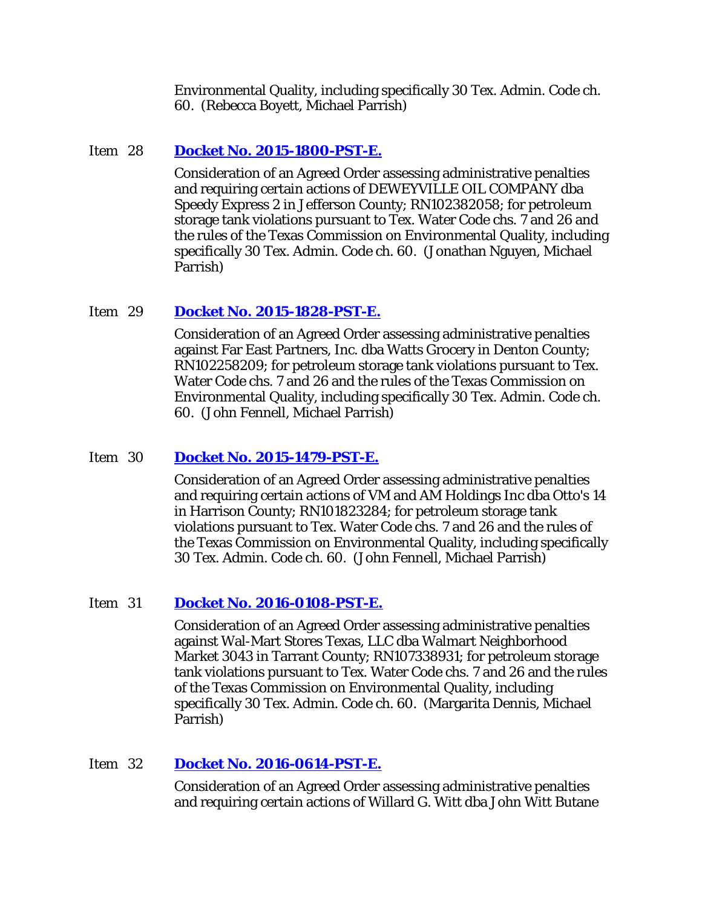Environmental Quality, including specifically 30 Tex. Admin. Code ch. 60. (Rebecca Boyett, Michael Parrish)

### Item 28 **[Docket No. 2015-1800-PST-E.](http://www.tceq.texas.gov/assets/public/comm_exec/agendas/comm/backup/Agendas/2016/10-19-2016/1800PST.pdf)**

Consideration of an Agreed Order assessing administrative penalties and requiring certain actions of DEWEYVILLE OIL COMPANY dba Speedy Express 2 in Jefferson County; RN102382058; for petroleum storage tank violations pursuant to Tex. Water Code chs. 7 and 26 and the rules of the Texas Commission on Environmental Quality, including specifically 30 Tex. Admin. Code ch. 60. (Jonathan Nguyen, Michael Parrish)

#### Item 29 **[Docket No. 2015-1828-PST-E.](http://www.tceq.texas.gov/assets/public/comm_exec/agendas/comm/backup/Agendas/2016/10-19-2016/1828PST.pdf)**

Consideration of an Agreed Order assessing administrative penalties against Far East Partners, Inc. dba Watts Grocery in Denton County; RN102258209; for petroleum storage tank violations pursuant to Tex. Water Code chs. 7 and 26 and the rules of the Texas Commission on Environmental Quality, including specifically 30 Tex. Admin. Code ch. 60. (John Fennell, Michael Parrish)

### Item 30 **[Docket No. 2015-1479-PST-E.](http://www.tceq.texas.gov/assets/public/comm_exec/agendas/comm/backup/Agendas/2016/10-19-2016/1479PST.pdf)**

Consideration of an Agreed Order assessing administrative penalties and requiring certain actions of VM and AM Holdings Inc dba Otto's 14 in Harrison County; RN101823284; for petroleum storage tank violations pursuant to Tex. Water Code chs. 7 and 26 and the rules of the Texas Commission on Environmental Quality, including specifically 30 Tex. Admin. Code ch. 60. (John Fennell, Michael Parrish)

#### Item 31 **[Docket No. 2016-0108-PST-E.](http://www.tceq.texas.gov/assets/public/comm_exec/agendas/comm/backup/Agendas/2016/10-19-2016/0108PST.pdf)**

Consideration of an Agreed Order assessing administrative penalties against Wal-Mart Stores Texas, LLC dba Walmart Neighborhood Market 3043 in Tarrant County; RN107338931; for petroleum storage tank violations pursuant to Tex. Water Code chs. 7 and 26 and the rules of the Texas Commission on Environmental Quality, including specifically 30 Tex. Admin. Code ch. 60. (Margarita Dennis, Michael Parrish)

### Item 32 **[Docket No. 2016-0614-PST-E.](http://www.tceq.texas.gov/assets/public/comm_exec/agendas/comm/backup/Agendas/2016/10-19-2016/0614PST.pdf)**

Consideration of an Agreed Order assessing administrative penalties and requiring certain actions of Willard G. Witt dba John Witt Butane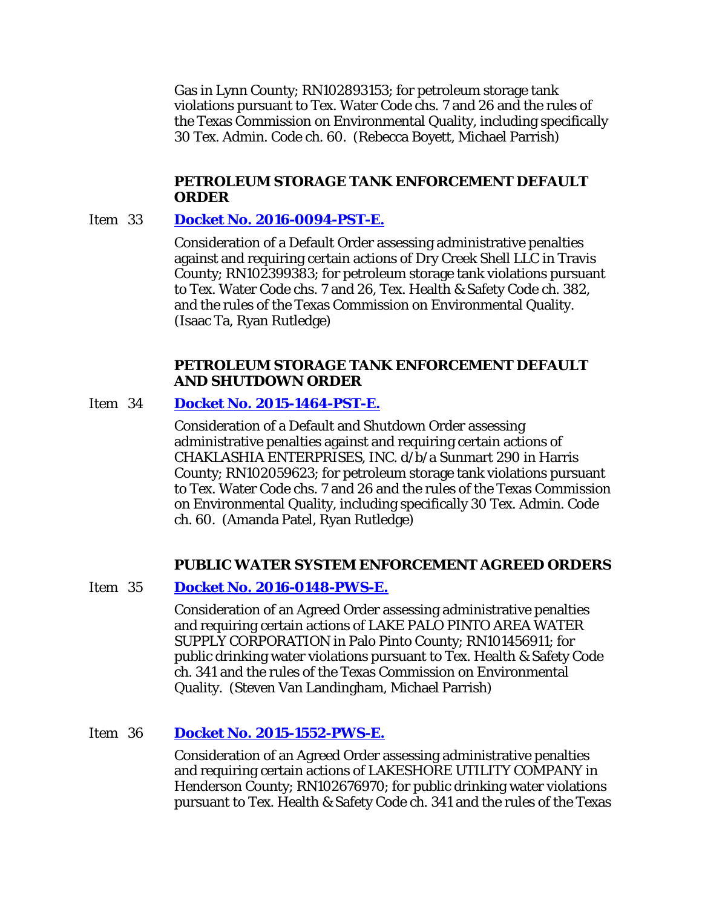Gas in Lynn County; RN102893153; for petroleum storage tank violations pursuant to Tex. Water Code chs. 7 and 26 and the rules of the Texas Commission on Environmental Quality, including specifically 30 Tex. Admin. Code ch. 60. (Rebecca Boyett, Michael Parrish)

# **PETROLEUM STORAGE TANK ENFORCEMENT DEFAULT ORDER**

#### Item 33 **[Docket No. 2016-0094-PST-E.](http://www.tceq.texas.gov/assets/public/comm_exec/agendas/comm/backup/Agendas/2016/10-19-2016/0094PST.pdf)**

Consideration of a Default Order assessing administrative penalties against and requiring certain actions of Dry Creek Shell LLC in Travis County; RN102399383; for petroleum storage tank violations pursuant to Tex. Water Code chs. 7 and 26, Tex. Health & Safety Code ch. 382, and the rules of the Texas Commission on Environmental Quality. (Isaac Ta, Ryan Rutledge)

### **PETROLEUM STORAGE TANK ENFORCEMENT DEFAULT AND SHUTDOWN ORDER**

### Item 34 **[Docket No. 2015-1464-PST-E.](http://www.tceq.texas.gov/assets/public/comm_exec/agendas/comm/backup/Agendas/2016/10-19-2016/1464PST.pdf)**

Consideration of a Default and Shutdown Order assessing administrative penalties against and requiring certain actions of CHAKLASHIA ENTERPRISES, INC. d/b/a Sunmart 290 in Harris County; RN102059623; for petroleum storage tank violations pursuant to Tex. Water Code chs. 7 and 26 and the rules of the Texas Commission on Environmental Quality, including specifically 30 Tex. Admin. Code ch. 60. (Amanda Patel, Ryan Rutledge)

#### **PUBLIC WATER SYSTEM ENFORCEMENT AGREED ORDERS**

### Item 35 **[Docket No. 2016-0148-PWS-E.](http://www.tceq.texas.gov/assets/public/comm_exec/agendas/comm/backup/Agendas/2016/10-19-2016/0148PWS.pdf)**

Consideration of an Agreed Order assessing administrative penalties and requiring certain actions of LAKE PALO PINTO AREA WATER SUPPLY CORPORATION in Palo Pinto County; RN101456911; for public drinking water violations pursuant to Tex. Health & Safety Code ch. 341 and the rules of the Texas Commission on Environmental Quality. (Steven Van Landingham, Michael Parrish)

### Item 36 **[Docket No. 2015-1552-PWS-E.](http://www.tceq.texas.gov/assets/public/comm_exec/agendas/comm/backup/Agendas/2016/10-19-2016/1552PWS.pdf)**

Consideration of an Agreed Order assessing administrative penalties and requiring certain actions of LAKESHORE UTILITY COMPANY in Henderson County; RN102676970; for public drinking water violations pursuant to Tex. Health & Safety Code ch. 341 and the rules of the Texas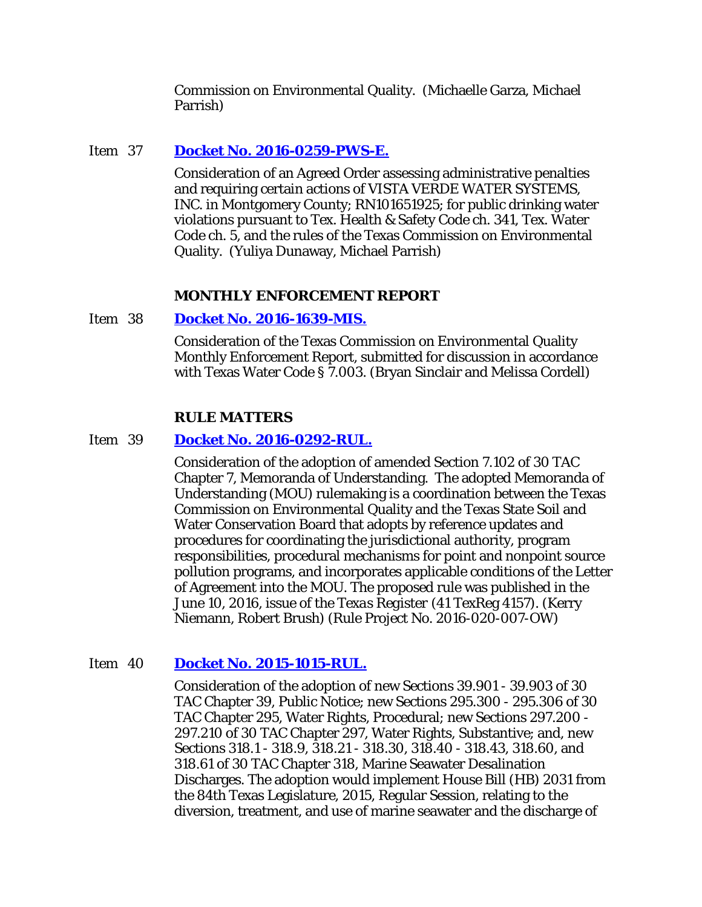Commission on Environmental Quality. (Michaelle Garza, Michael Parrish)

### Item 37 **[Docket No. 2016-0259-PWS-E.](http://www.tceq.texas.gov/assets/public/comm_exec/agendas/comm/backup/Agendas/2016/10-19-2016/0259PWS.pdf)**

Consideration of an Agreed Order assessing administrative penalties and requiring certain actions of VISTA VERDE WATER SYSTEMS, INC. in Montgomery County; RN101651925; for public drinking water violations pursuant to Tex. Health & Safety Code ch. 341, Tex. Water Code ch. 5, and the rules of the Texas Commission on Environmental Quality. (Yuliya Dunaway, Michael Parrish)

#### **MONTHLY ENFORCEMENT REPORT**

Item 38 **[Docket No. 2016-1639-MIS.](http://www.tceq.texas.gov/assets/public/comm_exec/agendas/comm/backup/Agendas/2016/10-19-2016/1639MIS.pdf)**

Consideration of the Texas Commission on Environmental Quality Monthly Enforcement Report, submitted for discussion in accordance with Texas Water Code § 7.003. (Bryan Sinclair and Melissa Cordell)

#### **RULE MATTERS**

#### Item 39 **[Docket No. 2016-0292-RUL.](http://www.tceq.texas.gov/assets/public/comm_exec/agendas/comm/backup/Agendas/2016/10-19-2016/0292RUL.pdf)**

Consideration of the adoption of amended Section 7.102 of 30 TAC Chapter 7, Memoranda of Understanding. The adopted Memoranda of Understanding (MOU) rulemaking is a coordination between the Texas Commission on Environmental Quality and the Texas State Soil and Water Conservation Board that adopts by reference updates and procedures for coordinating the jurisdictional authority, program responsibilities, procedural mechanisms for point and nonpoint source pollution programs, and incorporates applicable conditions of the Letter of Agreement into the MOU. The proposed rule was published in the June 10, 2016, issue of the *Texas Register* (41 TexReg 4157). (Kerry Niemann, Robert Brush) (Rule Project No. 2016-020-007-OW)

#### Item 40 **[Docket No. 2015-1015-RUL.](http://www.tceq.texas.gov/assets/public/comm_exec/agendas/comm/backup/Agendas/2016/10-19-2016/1015RUL.pdf)**

Consideration of the adoption of new Sections 39.901 - 39.903 of 30 TAC Chapter 39, Public Notice; new Sections 295.300 - 295.306 of 30 TAC Chapter 295, Water Rights, Procedural; new Sections 297.200 - 297.210 of 30 TAC Chapter 297, Water Rights, Substantive; and, new Sections 318.1 - 318.9, 318.21 - 318.30, 318.40 - 318.43, 318.60, and 318.61 of 30 TAC Chapter 318, Marine Seawater Desalination Discharges. The adoption would implement House Bill (HB) 2031 from the 84th Texas Legislature, 2015, Regular Session, relating to the diversion, treatment, and use of marine seawater and the discharge of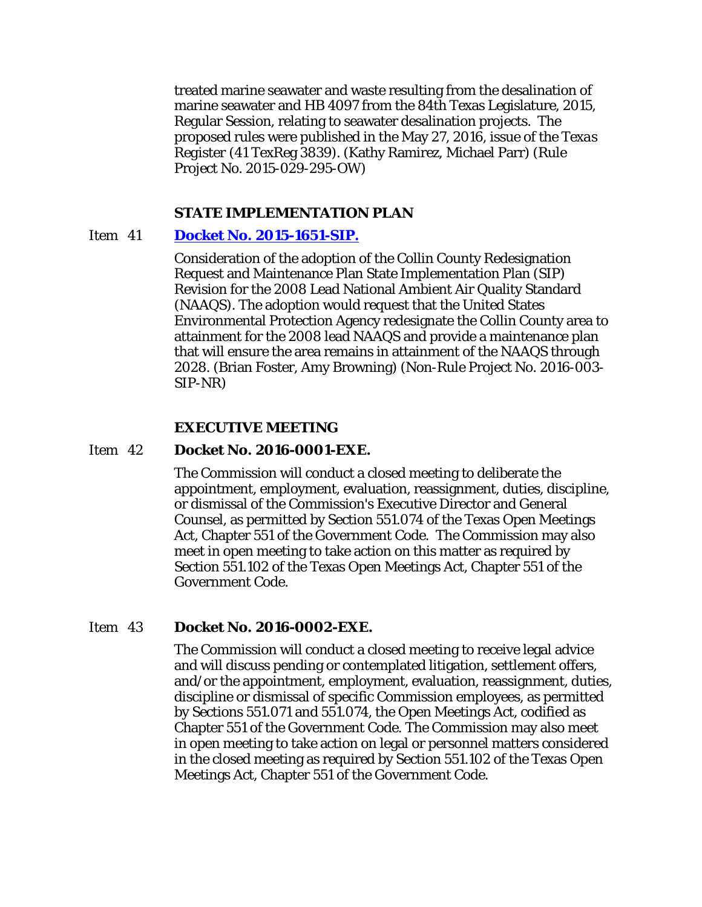treated marine seawater and waste resulting from the desalination of marine seawater and HB 4097 from the 84th Texas Legislature, 2015, Regular Session, relating to seawater desalination projects. The proposed rules were published in the May 27, 2016, issue of the *Texas Register* (41 TexReg 3839). (Kathy Ramirez, Michael Parr) (Rule Project No. 2015-029-295-OW)

#### **STATE IMPLEMENTATION PLAN**

#### Item 41 **[Docket No. 2015-1651-SIP.](http://www.tceq.texas.gov/assets/public/comm_exec/agendas/comm/backup/Agendas/2016/10-19-2016/1651SIP.pdf)**

Consideration of the adoption of the Collin County Redesignation Request and Maintenance Plan State Implementation Plan (SIP) Revision for the 2008 Lead National Ambient Air Quality Standard (NAAQS). The adoption would request that the United States Environmental Protection Agency redesignate the Collin County area to attainment for the 2008 lead NAAQS and provide a maintenance plan that will ensure the area remains in attainment of the NAAQS through 2028. (Brian Foster, Amy Browning) (Non-Rule Project No. 2016-003- SIP-NR)

# **EXECUTIVE MEETING**

#### Item 42 **Docket No. 2016-0001-EXE.**

The Commission will conduct a closed meeting to deliberate the appointment, employment, evaluation, reassignment, duties, discipline, or dismissal of the Commission's Executive Director and General Counsel, as permitted by Section 551.074 of the Texas Open Meetings Act, Chapter 551 of the Government Code. The Commission may also meet in open meeting to take action on this matter as required by Section 551.102 of the Texas Open Meetings Act, Chapter 551 of the Government Code.

#### Item 43 **Docket No. 2016-0002-EXE.**

The Commission will conduct a closed meeting to receive legal advice and will discuss pending or contemplated litigation, settlement offers, and/or the appointment, employment, evaluation, reassignment, duties, discipline or dismissal of specific Commission employees, as permitted by Sections 551.071 and 551.074, the Open Meetings Act, codified as Chapter 551 of the Government Code. The Commission may also meet in open meeting to take action on legal or personnel matters considered in the closed meeting as required by Section 551.102 of the Texas Open Meetings Act, Chapter 551 of the Government Code.